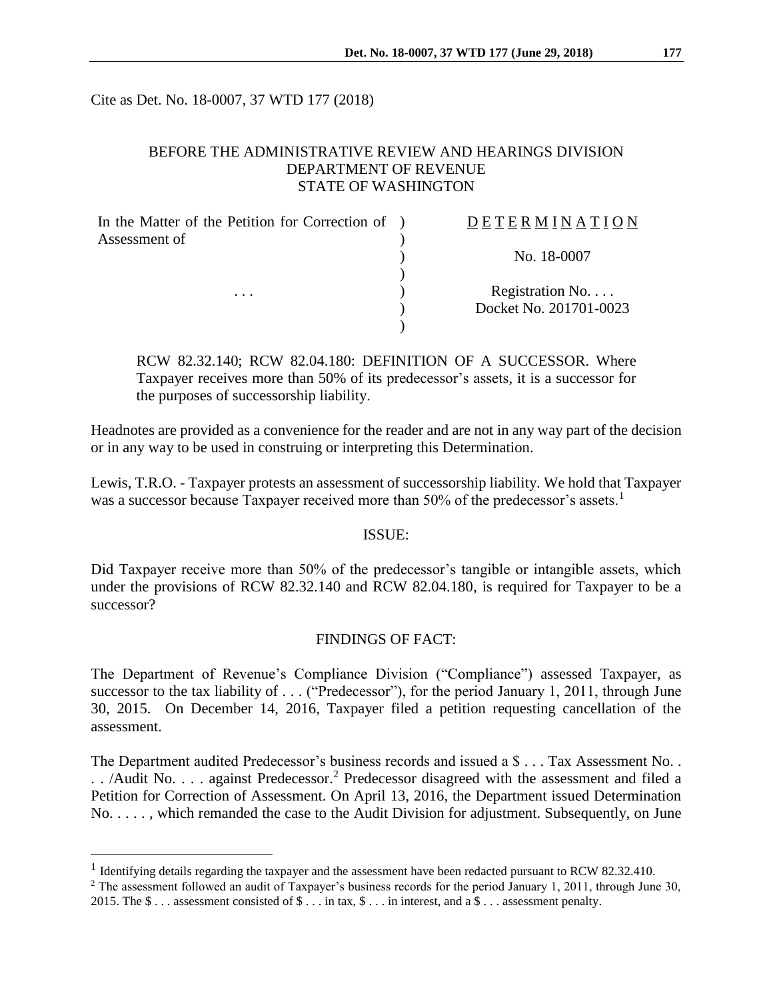Cite as Det. No. 18-0007, 37 WTD 177 (2018)

### BEFORE THE ADMINISTRATIVE REVIEW AND HEARINGS DIVISION DEPARTMENT OF REVENUE STATE OF WASHINGTON

| In the Matter of the Petition for Correction of ) | DETERMINATION          |
|---------------------------------------------------|------------------------|
| Assessment of                                     |                        |
|                                                   | No. 18-0007            |
|                                                   |                        |
| .                                                 | Registration No        |
|                                                   | Docket No. 201701-0023 |
|                                                   |                        |

RCW 82.32.140; RCW 82.04.180: DEFINITION OF A SUCCESSOR. Where Taxpayer receives more than 50% of its predecessor's assets, it is a successor for the purposes of successorship liability.

Headnotes are provided as a convenience for the reader and are not in any way part of the decision or in any way to be used in construing or interpreting this Determination.

Lewis, T.R.O. - Taxpayer protests an assessment of successorship liability. We hold that Taxpayer was a successor because Taxpayer received more than 50% of the predecessor's assets.<sup>1</sup>

#### ISSUE:

Did Taxpayer receive more than 50% of the predecessor's tangible or intangible assets, which under the provisions of RCW 82.32.140 and RCW 82.04.180, is required for Taxpayer to be a successor?

#### FINDINGS OF FACT:

The Department of Revenue's Compliance Division ("Compliance") assessed Taxpayer, as successor to the tax liability of . . . ("Predecessor"), for the period January 1, 2011, through June 30, 2015. On December 14, 2016, Taxpayer filed a petition requesting cancellation of the assessment.

The Department audited Predecessor's business records and issued a \$ . . . Tax Assessment No. . . . /Audit No. . . . against Predecessor.<sup>2</sup> Predecessor disagreed with the assessment and filed a Petition for Correction of Assessment. On April 13, 2016, the Department issued Determination No. . . . . , which remanded the case to the Audit Division for adjustment. Subsequently, on June

 $\overline{a}$ 

<sup>&</sup>lt;sup>1</sup> Identifying details regarding the taxpayer and the assessment have been redacted pursuant to RCW 82.32.410.

<sup>&</sup>lt;sup>2</sup> The assessment followed an audit of Taxpayer's business records for the period January 1, 2011, through June 30, 2015. The \$ . . . assessment consisted of \$ . . . in tax, \$ . . . in interest, and a \$ . . . assessment penalty.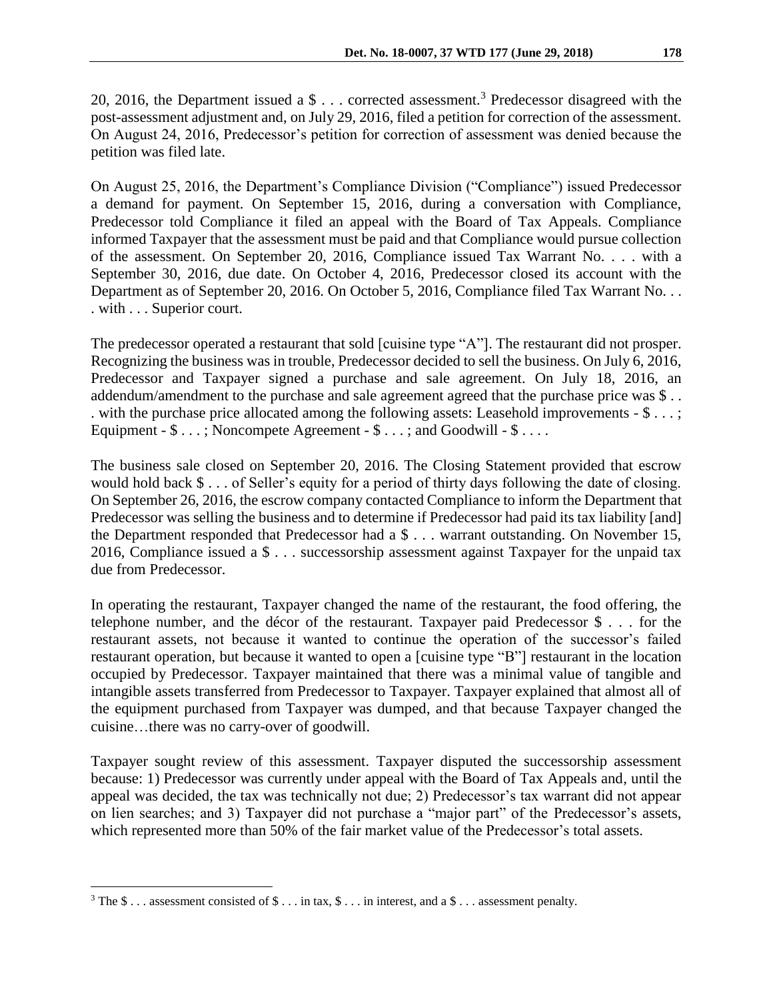20, 2016, the Department issued a \$ . . . corrected assessment.<sup>3</sup> Predecessor disagreed with the post-assessment adjustment and, on July 29, 2016, filed a petition for correction of the assessment. On August 24, 2016, Predecessor's petition for correction of assessment was denied because the petition was filed late.

On August 25, 2016, the Department's Compliance Division ("Compliance") issued Predecessor a demand for payment. On September 15, 2016, during a conversation with Compliance, Predecessor told Compliance it filed an appeal with the Board of Tax Appeals. Compliance informed Taxpayer that the assessment must be paid and that Compliance would pursue collection of the assessment. On September 20, 2016, Compliance issued Tax Warrant No. . . . with a September 30, 2016, due date. On October 4, 2016, Predecessor closed its account with the Department as of September 20, 2016. On October 5, 2016, Compliance filed Tax Warrant No. . . . with . . . Superior court.

The predecessor operated a restaurant that sold [cuisine type "A"]. The restaurant did not prosper. Recognizing the business was in trouble, Predecessor decided to sell the business. On July 6, 2016, Predecessor and Taxpayer signed a purchase and sale agreement. On July 18, 2016, an addendum/amendment to the purchase and sale agreement agreed that the purchase price was \$ . . . with the purchase price allocated among the following assets: Leasehold improvements - \$ . . . ; Equipment -  $\$\dots$ ; Noncompete Agreement -  $\$\dots$ ; and Goodwill -  $\$\dots$ .

The business sale closed on September 20, 2016. The Closing Statement provided that escrow would hold back \$ . . . of Seller's equity for a period of thirty days following the date of closing. On September 26, 2016, the escrow company contacted Compliance to inform the Department that Predecessor was selling the business and to determine if Predecessor had paid its tax liability [and] the Department responded that Predecessor had a \$ . . . warrant outstanding. On November 15, 2016, Compliance issued a \$ . . . successorship assessment against Taxpayer for the unpaid tax due from Predecessor.

In operating the restaurant, Taxpayer changed the name of the restaurant, the food offering, the telephone number, and the décor of the restaurant. Taxpayer paid Predecessor \$ . . . for the restaurant assets, not because it wanted to continue the operation of the successor's failed restaurant operation, but because it wanted to open a [cuisine type "B"] restaurant in the location occupied by Predecessor. Taxpayer maintained that there was a minimal value of tangible and intangible assets transferred from Predecessor to Taxpayer. Taxpayer explained that almost all of the equipment purchased from Taxpayer was dumped, and that because Taxpayer changed the cuisine…there was no carry-over of goodwill.

Taxpayer sought review of this assessment. Taxpayer disputed the successorship assessment because: 1) Predecessor was currently under appeal with the Board of Tax Appeals and, until the appeal was decided, the tax was technically not due; 2) Predecessor's tax warrant did not appear on lien searches; and 3) Taxpayer did not purchase a "major part" of the Predecessor's assets, which represented more than 50% of the fair market value of the Predecessor's total assets.

 $\overline{a}$ 

<sup>&</sup>lt;sup>3</sup> The \$ . . . assessment consisted of \$ . . . in tax, \$ . . . in interest, and a \$ . . . assessment penalty.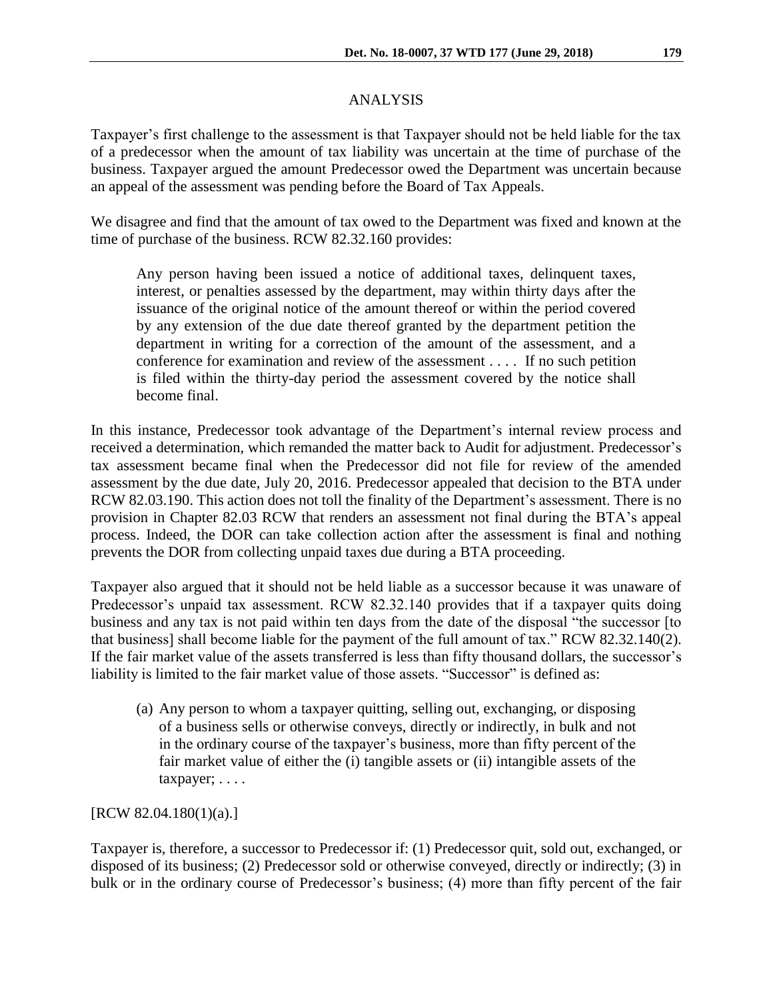# ANALYSIS

Taxpayer's first challenge to the assessment is that Taxpayer should not be held liable for the tax of a predecessor when the amount of tax liability was uncertain at the time of purchase of the business. Taxpayer argued the amount Predecessor owed the Department was uncertain because an appeal of the assessment was pending before the Board of Tax Appeals.

We disagree and find that the amount of tax owed to the Department was fixed and known at the time of purchase of the business. RCW 82.32.160 provides:

Any person having been issued a notice of additional taxes, delinquent taxes, interest, or penalties assessed by the department, may within thirty days after the issuance of the original notice of the amount thereof or within the period covered by any extension of the due date thereof granted by the department petition the department in writing for a correction of the amount of the assessment, and a conference for examination and review of the assessment . . . . If no such petition is filed within the thirty-day period the assessment covered by the notice shall become final.

In this instance, Predecessor took advantage of the Department's internal review process and received a determination, which remanded the matter back to Audit for adjustment. Predecessor's tax assessment became final when the Predecessor did not file for review of the amended assessment by the due date, July 20, 2016. Predecessor appealed that decision to the BTA under RCW 82.03.190. This action does not toll the finality of the Department's assessment. There is no provision in Chapter 82.03 RCW that renders an assessment not final during the BTA's appeal process. Indeed, the DOR can take collection action after the assessment is final and nothing prevents the DOR from collecting unpaid taxes due during a BTA proceeding.

Taxpayer also argued that it should not be held liable as a successor because it was unaware of Predecessor's unpaid tax assessment. RCW 82.32.140 provides that if a taxpayer quits doing business and any tax is not paid within ten days from the date of the disposal "the successor [to that business] shall become liable for the payment of the full amount of tax." RCW 82.32.140(2). If the fair market value of the assets transferred is less than fifty thousand dollars, the successor's liability is limited to the fair market value of those assets. "Successor" is defined as:

(a) Any person to whom a taxpayer quitting, selling out, exchanging, or disposing of a business sells or otherwise conveys, directly or indirectly, in bulk and not in the ordinary course of the taxpayer's business, more than fifty percent of the fair market value of either the (i) tangible assets or (ii) intangible assets of the taxpayer; . . . .

[RCW 82.04.180(1)(a).]

Taxpayer is, therefore, a successor to Predecessor if: (1) Predecessor quit, sold out, exchanged, or disposed of its business; (2) Predecessor sold or otherwise conveyed, directly or indirectly; (3) in bulk or in the ordinary course of Predecessor's business; (4) more than fifty percent of the fair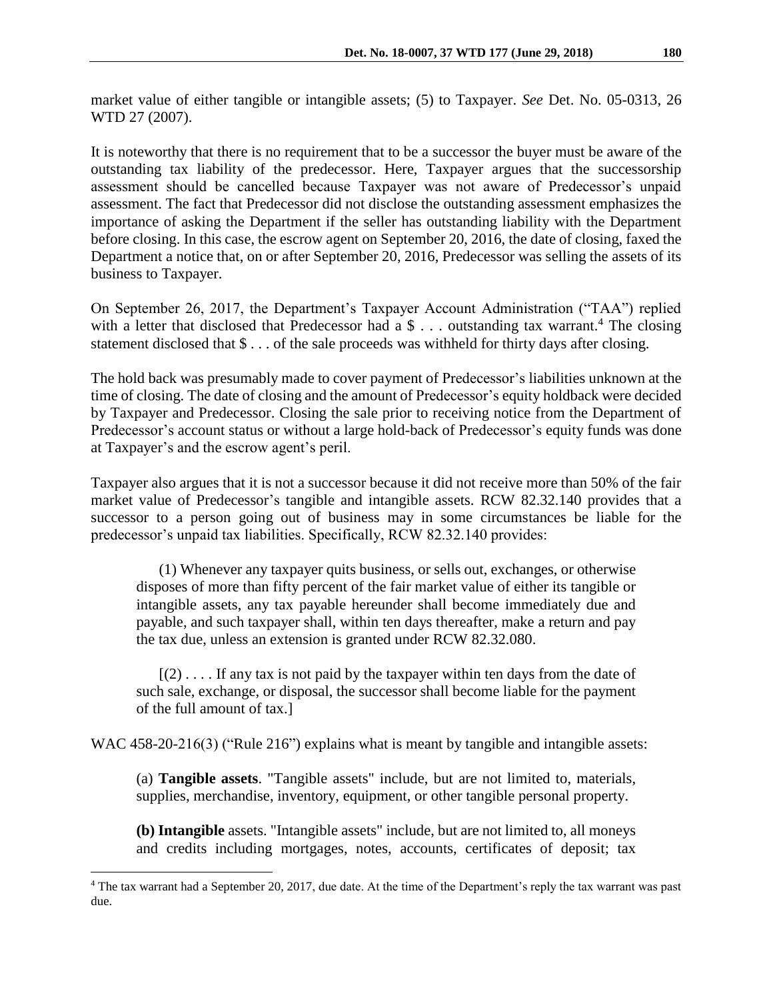market value of either tangible or intangible assets; (5) to Taxpayer. *See* Det. No. 05-0313, 26 WTD 27 (2007).

It is noteworthy that there is no requirement that to be a successor the buyer must be aware of the outstanding tax liability of the predecessor. Here, Taxpayer argues that the successorship assessment should be cancelled because Taxpayer was not aware of Predecessor's unpaid assessment. The fact that Predecessor did not disclose the outstanding assessment emphasizes the importance of asking the Department if the seller has outstanding liability with the Department before closing. In this case, the escrow agent on September 20, 2016, the date of closing, faxed the Department a notice that, on or after September 20, 2016, Predecessor was selling the assets of its business to Taxpayer.

On September 26, 2017, the Department's Taxpayer Account Administration ("TAA") replied with a letter that disclosed that Predecessor had a  $\$ ... outstanding tax warrant.<sup>4</sup> The closing statement disclosed that \$ . . . of the sale proceeds was withheld for thirty days after closing.

The hold back was presumably made to cover payment of Predecessor's liabilities unknown at the time of closing. The date of closing and the amount of Predecessor's equity holdback were decided by Taxpayer and Predecessor. Closing the sale prior to receiving notice from the Department of Predecessor's account status or without a large hold-back of Predecessor's equity funds was done at Taxpayer's and the escrow agent's peril.

Taxpayer also argues that it is not a successor because it did not receive more than 50% of the fair market value of Predecessor's tangible and intangible assets. RCW 82.32.140 provides that a successor to a person going out of business may in some circumstances be liable for the predecessor's unpaid tax liabilities. Specifically, RCW 82.32.140 provides:

(1) Whenever any taxpayer quits business, or sells out, exchanges, or otherwise disposes of more than fifty percent of the fair market value of either its tangible or intangible assets, any tax payable hereunder shall become immediately due and payable, and such taxpayer shall, within ten days thereafter, make a return and pay the tax due, unless an extension is granted under RCW 82.32.080.

 $[(2) \dots$  If any tax is not paid by the taxpayer within ten days from the date of such sale, exchange, or disposal, the successor shall become liable for the payment of the full amount of tax.]

WAC 458-20-216(3) ("Rule 216") explains what is meant by tangible and intangible assets:

(a) **Tangible assets**. "Tangible assets" include, but are not limited to, materials, supplies, merchandise, inventory, equipment, or other tangible personal property.

**(b) Intangible** assets. "Intangible assets" include, but are not limited to, all moneys and credits including mortgages, notes, accounts, certificates of deposit; tax

 $\overline{a}$ 

<sup>&</sup>lt;sup>4</sup> The tax warrant had a September 20, 2017, due date. At the time of the Department's reply the tax warrant was past due.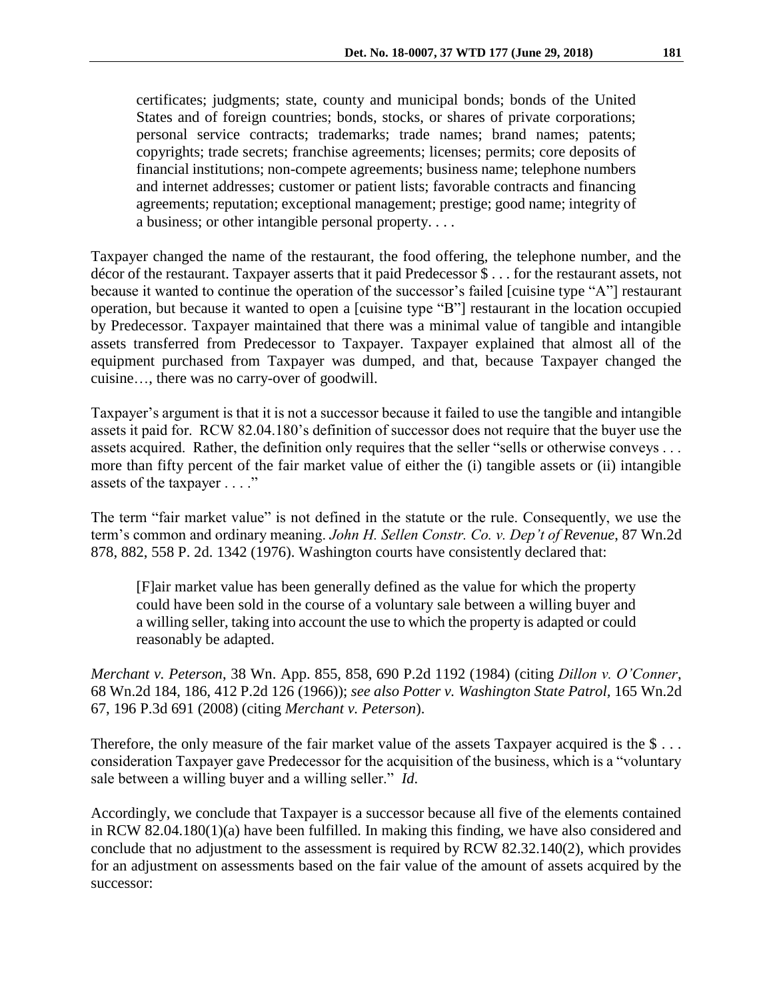certificates; judgments; state, county and municipal bonds; bonds of the United States and of foreign countries; bonds, stocks, or shares of private corporations; personal service contracts; trademarks; trade names; brand names; patents; copyrights; trade secrets; franchise agreements; licenses; permits; core deposits of financial institutions; non-compete agreements; business name; telephone numbers and internet addresses; customer or patient lists; favorable contracts and financing agreements; reputation; exceptional management; prestige; good name; integrity of a business; or other intangible personal property. . . .

Taxpayer changed the name of the restaurant, the food offering, the telephone number, and the décor of the restaurant. Taxpayer asserts that it paid Predecessor \$ . . . for the restaurant assets, not because it wanted to continue the operation of the successor's failed [cuisine type "A"] restaurant operation, but because it wanted to open a [cuisine type "B"] restaurant in the location occupied by Predecessor. Taxpayer maintained that there was a minimal value of tangible and intangible assets transferred from Predecessor to Taxpayer. Taxpayer explained that almost all of the equipment purchased from Taxpayer was dumped, and that, because Taxpayer changed the cuisine…, there was no carry-over of goodwill.

Taxpayer's argument is that it is not a successor because it failed to use the tangible and intangible assets it paid for. RCW 82.04.180's definition of successor does not require that the buyer use the assets acquired. Rather, the definition only requires that the seller "sells or otherwise conveys . . . more than fifty percent of the fair market value of either the (i) tangible assets or (ii) intangible assets of the taxpayer . . . ."

The term "fair market value" is not defined in the statute or the rule. Consequently, we use the term's common and ordinary meaning. *John H. Sellen Constr. Co. v. Dep't of Revenue*, 87 Wn.2d 878, 882, 558 P. 2d. 1342 (1976). Washington courts have consistently declared that:

[F]air market value has been generally defined as the value for which the property could have been sold in the course of a voluntary sale between a willing buyer and a willing seller, taking into account the use to which the property is adapted or could reasonably be adapted.

*Merchant v. Peterson*, 38 Wn. App. 855, 858, 690 P.2d 1192 (1984) (citing *Dillon v. O'Conner*, 68 Wn.2d 184, 186, 412 P.2d 126 (1966)); *see also Potter v. Washington State Patrol,* 165 Wn.2d 67, 196 P.3d 691 (2008) (citing *Merchant v. Peterson*).

Therefore, the only measure of the fair market value of the assets Taxpayer acquired is the \$... consideration Taxpayer gave Predecessor for the acquisition of the business, which is a "voluntary sale between a willing buyer and a willing seller." *Id*.

Accordingly, we conclude that Taxpayer is a successor because all five of the elements contained in RCW 82.04.180(1)(a) have been fulfilled. In making this finding, we have also considered and conclude that no adjustment to the assessment is required by RCW 82.32.140(2), which provides for an adjustment on assessments based on the fair value of the amount of assets acquired by the successor: